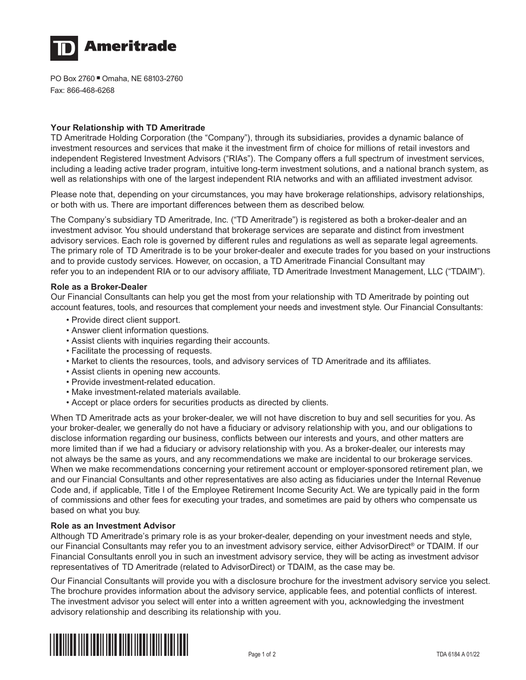

PO Box 2760 Omaha, NE 68103-2760 Fax: 866-468-6268

# **Your Relationship with TD Ameritrade**

TD Ameritrade Holding Corporation (the "Company"), through its subsidiaries, provides a dynamic balance of investment resources and services that make it the investment firm of choice for millions of retail investors and independent Registered Investment Advisors ("RIAs"). The Company offers a full spectrum of investment services, including a leading active trader program, intuitive long-term investment solutions, and a national branch system, as well as relationships with one of the largest independent RIA networks and with an affiliated investment advisor.

Please note that, depending on your circumstances, you may have brokerage relationships, advisory relationships, or both with us. There are important differences between them as described below.

The Company's subsidiary TD Ameritrade, Inc. ("TD Ameritrade") is registered as both a broker-dealer and an investment advisor. You should understand that brokerage services are separate and distinct from investment advisory services. Each role is governed by different rules and regulations as well as separate legal agreements. The primary role of TD Ameritrade is to be your broker-dealer and execute trades for you based on your instructions and to provide custody services. However, on occasion, a TD Ameritrade Financial Consultant may refer you to an independent RIA or to our advisory affiliate, TD Ameritrade Investment Management, LLC ("TDAIM").

## **Role as a Broker-Dealer**

Our Financial Consultants can help you get the most from your relationship with TD Ameritrade by pointing out account features, tools, and resources that complement your needs and investment style. Our Financial Consultants:

- Provide direct client support.
- Answer client information questions.
- Assist clients with inquiries regarding their accounts.
- Facilitate the processing of requests.
- Market to clients the resources, tools, and advisory services of TD Ameritrade and its affiliates.
- Assist clients in opening new accounts.
- Provide investment-related education.
- Make investment-related materials available.
- Accept or place orders for securities products as directed by clients.

When TD Ameritrade acts as your broker-dealer, we will not have discretion to buy and sell securities for you. As your broker-dealer, we generally do not have a fiduciary or advisory relationship with you, and our obligations to disclose information regarding our business, conflicts between our interests and yours, and other matters are more limited than if we had a fiduciary or advisory relationship with you. As a broker-dealer, our interests may not always be the same as yours, and any recommendations we make are incidental to our brokerage services. When we make recommendations concerning your retirement account or employer-sponsored retirement plan, we and our Financial Consultants and other representatives are also acting as fiduciaries under the Internal Revenue Code and, if applicable, Title I of the Employee Retirement Income Security Act. We are typically paid in the form of commissions and other fees for executing your trades, and sometimes are paid by others who compensate us based on what you buy.

## **Role as an Investment Advisor**

Although TD Ameritrade's primary role is as your broker-dealer, depending on your investment needs and style, our Financial Consultants may refer you to an investment advisory service, either AdvisorDirect® or TDAIM. If our Financial Consultants enroll you in such an investment advisory service, they will be acting as investment advisor representatives of TD Ameritrade (related to AdvisorDirect) or TDAIM, as the case may be.

Our Financial Consultants will provide you with a disclosure brochure for the investment advisory service you select. The brochure provides information about the advisory service, applicable fees, and potential conflicts of interest. The investment advisor you select will enter into a written agreement with you, acknowledging the investment advisory relationship and describing its relationship with you.